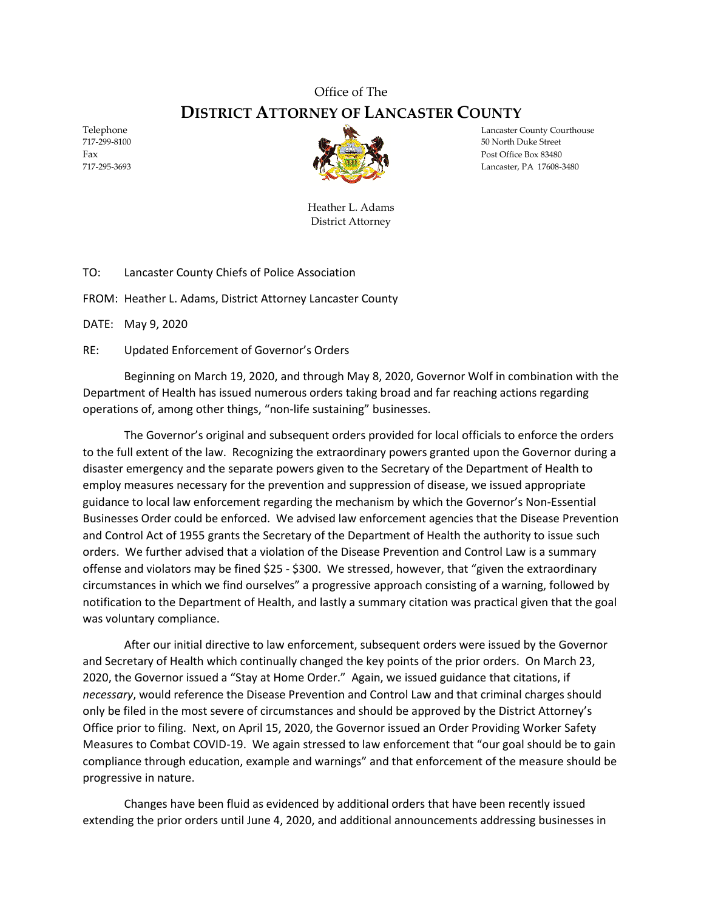## Office of The **DISTRICT ATTORNEY OF LANCASTER COUNTY**



Telephone Lancaster County Courthouse Lancaster County Courthouse 717-299-8100 50 North Duke Street Fax Post Office Box 83480 717-295-3693 Lancaster, PA 17608-3480

> Heather L. Adams District Attorney

TO: Lancaster County Chiefs of Police Association

FROM: Heather L. Adams, District Attorney Lancaster County

DATE: May 9, 2020

RE: Updated Enforcement of Governor's Orders

Beginning on March 19, 2020, and through May 8, 2020, Governor Wolf in combination with the Department of Health has issued numerous orders taking broad and far reaching actions regarding operations of, among other things, "non-life sustaining" businesses.

The Governor's original and subsequent orders provided for local officials to enforce the orders to the full extent of the law. Recognizing the extraordinary powers granted upon the Governor during a disaster emergency and the separate powers given to the Secretary of the Department of Health to employ measures necessary for the prevention and suppression of disease, we issued appropriate guidance to local law enforcement regarding the mechanism by which the Governor's Non-Essential Businesses Order could be enforced. We advised law enforcement agencies that the Disease Prevention and Control Act of 1955 grants the Secretary of the Department of Health the authority to issue such orders. We further advised that a violation of the Disease Prevention and Control Law is a summary offense and violators may be fined \$25 - \$300. We stressed, however, that "given the extraordinary circumstances in which we find ourselves" a progressive approach consisting of a warning, followed by notification to the Department of Health, and lastly a summary citation was practical given that the goal was voluntary compliance.

After our initial directive to law enforcement, subsequent orders were issued by the Governor and Secretary of Health which continually changed the key points of the prior orders. On March 23, 2020, the Governor issued a "Stay at Home Order." Again, we issued guidance that citations, if *necessary*, would reference the Disease Prevention and Control Law and that criminal charges should only be filed in the most severe of circumstances and should be approved by the District Attorney's Office prior to filing. Next, on April 15, 2020, the Governor issued an Order Providing Worker Safety Measures to Combat COVID-19. We again stressed to law enforcement that "our goal should be to gain compliance through education, example and warnings" and that enforcement of the measure should be progressive in nature.

Changes have been fluid as evidenced by additional orders that have been recently issued extending the prior orders until June 4, 2020, and additional announcements addressing businesses in